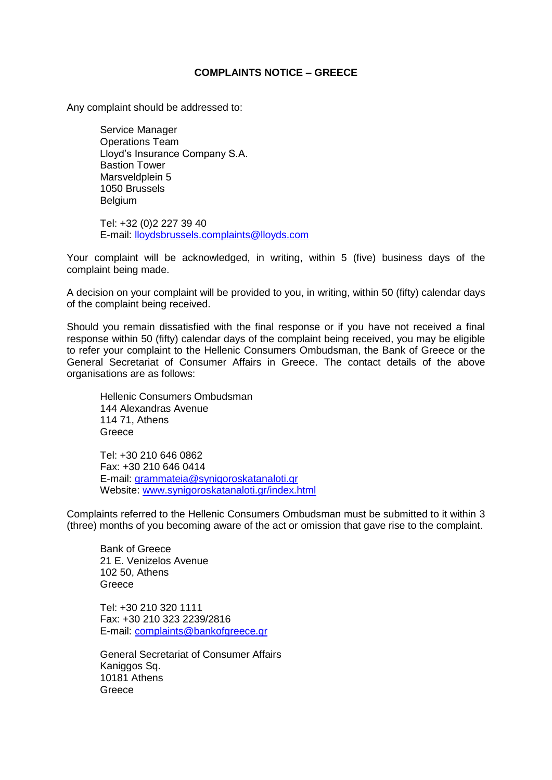## **COMPLAINTS NOTICE – GREECE**

Any complaint should be addressed to:

Service Manager Operations Team Lloyd's Insurance Company S.A. Bastion Tower Marsveldplein 5 1050 Brussels Belgium

Tel: +32 (0)2 227 39 40 E-mail: lloydsbrussels.complaints@lloyds.com

Your complaint will be acknowledged, in writing, within 5 (five) business days of the complaint being made.

A decision on your complaint will be provided to you, in writing, within 50 (fifty) calendar days of the complaint being received.

Should you remain dissatisfied with the final response or if you have not received a final response within 50 (fifty) calendar days of the complaint being received, you may be eligible to refer your complaint to the Hellenic Consumers Ombudsman, the Bank of Greece or the General Secretariat of Consumer Affairs in Greece. The contact details of the above organisations are as follows:

Hellenic Consumers Ombudsman 144 Alexandras Avenue 114 71, Athens Greece

Tel: +30 210 646 0862 Fax: +30 210 646 0414 E-mail: [grammateia@synigoroskatanaloti.gr](mailto:grammateia@synigoroskatanaloti.gr) Website: [www.synigoroskatanaloti.gr/index.html](http://www.synigoroskatanaloti.gr/index.html)

Complaints referred to the Hellenic Consumers Ombudsman must be submitted to it within 3 (three) months of you becoming aware of the act or omission that gave rise to the complaint.

Bank of Greece 21 E. Venizelos Avenue 102 50, Athens **Greece** 

Tel: +30 210 320 1111 Fax: +30 210 323 2239/2816 E-mail: [complaints@bankofgreece.gr](mailto:complaints@bankofgreece.gr)

General Secretariat of Consumer Affairs Kaniggos Sq. 10181 Athens **Greece**